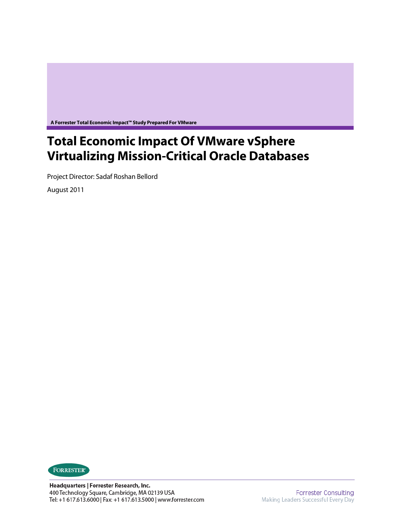**A Forrester Total Economic Impact™ Study Prepared For VMware** 

# **Total Economic Impact Of VMware vSphere Virtualizing Mission-Critical Oracle Databases**

Project Director: Sadaf Roshan Bellord

August 2011

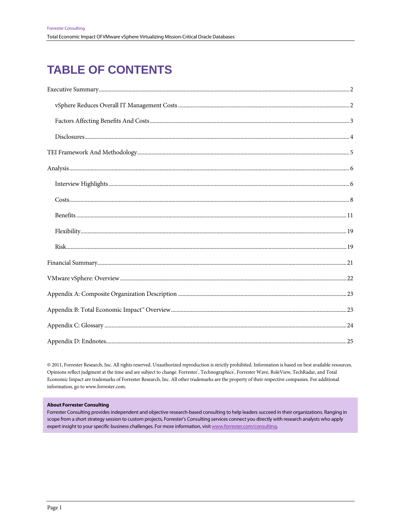# **TABLE OF CONTENTS**

@ 2011, Forrester Research, Inc. All rights reserved. Unauthorized reproduction is strictly prohibited. Information is based on best available resources. Opinions reflect judgment at the time and are subject to change. Forrester, Technographics, Forrester Wave, RoleView, TechRadar, and Total Economic Impact are trademarks of Forrester Research, Inc. All other trademarks are the property of their respective companies. For additional information, go to www.forrester.com.

#### **About Forrester Consulting**

Forrester Consulting provides independent and objective research-based consulting to help leaders succeed in their organizations. Ranging in scope from a short strategy session to custom projects, Forrester's Consulting services connect you directly with research analysts who apply expert insight to your specific business challenges. For more information, visit www.forrester.com/consulting.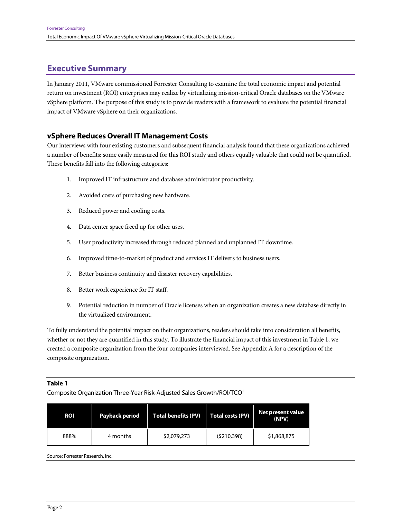# **Executive Summary**

In January 2011, VMware commissioned Forrester Consulting to examine the total economic impact and potential return on investment (ROI) enterprises may realize by virtualizing mission-critical Oracle databases on the VMware vSphere platform. The purpose of this study is to provide readers with a framework to evaluate the potential financial impact of VMware vSphere on their organizations.

## **vSphere Reduces Overall IT Management Costs**

Our interviews with four existing customers and subsequent financial analysis found that these organizations achieved a number of benefits: some easily measured for this ROI study and others equally valuable that could not be quantified. These benefits fall into the following categories:

- 1. Improved IT infrastructure and database administrator productivity.
- 2. Avoided costs of purchasing new hardware.
- 3. Reduced power and cooling costs.
- 4. Data center space freed up for other uses.
- 5. User productivity increased through reduced planned and unplanned IT downtime.
- 6. Improved time-to-market of product and services IT delivers to business users.
- 7. Better business continuity and disaster recovery capabilities.
- 8. Better work experience for IT staff.
- 9. Potential reduction in number of Oracle licenses when an organization creates a new database directly in the virtualized environment.

To fully understand the potential impact on their organizations, readers should take into consideration all benefits, whether or not they are quantified in this study. To illustrate the financial impact of this investment in Table 1, we created a composite organization from the four companies interviewed. See Appendix A for a description of the composite organization.

#### **Table 1**

Composite Organization Three-Year Risk-Adjusted Sales Growth/ROI/TCO1

| <b>ROI</b> | Payback period | <b>Total costs (PV)</b><br><b>Total benefits (PV)</b> |             | Net present value<br>(NPV) |
|------------|----------------|-------------------------------------------------------|-------------|----------------------------|
| 888%       | 4 months       | \$2,079,273                                           | (5210, 398) | \$1,868,875                |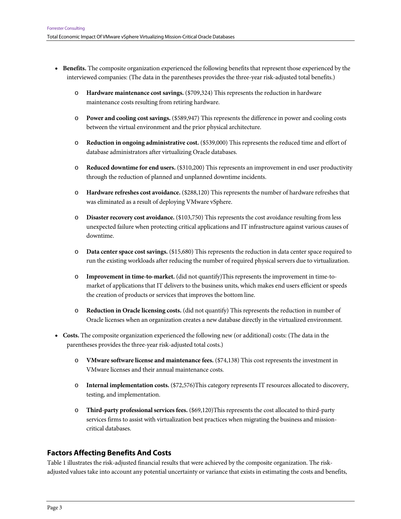- **Benefits.** The composite organization experienced the following benefits that represent those experienced by the interviewed companies: (The data in the parentheses provides the three-year risk-adjusted total benefits.)
	- o **Hardware maintenance cost savings.** (\$709,324) This represents the reduction in hardware maintenance costs resulting from retiring hardware.
	- o **Power and cooling cost savings.** (\$589,947) This represents the difference in power and cooling costs between the virtual environment and the prior physical architecture.
	- o **Reduction in ongoing administrative cost.** (\$539,000) This represents the reduced time and effort of database administrators after virtualizing Oracle databases.
	- o **Reduced downtime for end users.** (\$310,200) This represents an improvement in end user productivity through the reduction of planned and unplanned downtime incidents.
	- o **Hardware refreshes cost avoidance.** (\$288,120) This represents the number of hardware refreshes that was eliminated as a result of deploying VMware vSphere.
	- o **Disaster recovery cost avoidance.** (\$103,750) This represents the cost avoidance resulting from less unexpected failure when protecting critical applications and IT infrastructure against various causes of downtime.
	- o **Data center space cost savings.** (\$15,680) This represents the reduction in data center space required to run the existing workloads after reducing the number of required physical servers due to virtualization.
	- o **Improvement in time-to-market.** (did not quantify)This represents the improvement in time-tomarket of applications that IT delivers to the business units, which makes end users efficient or speeds the creation of products or services that improves the bottom line.
	- o **Reduction in Oracle licensing costs.** (did not quantify) This represents the reduction in number of Oracle licenses when an organization creates a new database directly in the virtualized environment.
- **Costs.** The composite organization experienced the following new (or additional) costs: (The data in the parentheses provides the three-year risk-adjusted total costs.)
	- o **VMware software license and maintenance fees.** (\$74,138) This cost represents the investment in VMware licenses and their annual maintenance costs.
	- o **Internal implementation costs.** (\$72,576)This category represents IT resources allocated to discovery, testing, and implementation.
	- o **Third-party professional services fees.** (\$69,120)This represents the cost allocated to third-party services firms to assist with virtualization best practices when migrating the business and missioncritical databases.

# **Factors Affecting Benefits And Costs**

Table 1 illustrates the risk-adjusted financial results that were achieved by the composite organization. The riskadjusted values take into account any potential uncertainty or variance that exists in estimating the costs and benefits,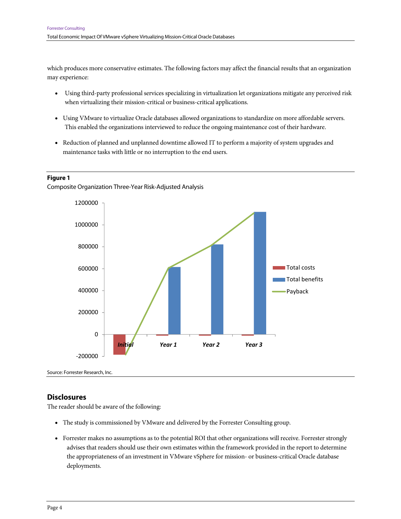which produces more conservative estimates. The following factors may affect the financial results that an organization may experience:

- Using third-party professional services specializing in virtualization let organizations mitigate any perceived risk when virtualizing their mission-critical or business-critical applications.
- Using VMware to virtualize Oracle databases allowed organizations to standardize on more affordable servers. This enabled the organizations interviewed to reduce the ongoing maintenance cost of their hardware.
- Reduction of planned and unplanned downtime allowed IT to perform a majority of system upgrades and maintenance tasks with little or no interruption to the end users.

#### **Figure 1**

Composite Organization Three-Year Risk-Adjusted Analysis



Source: Forrester Research, Inc.

## **Disclosures**

The reader should be aware of the following:

- The study is commissioned by VMware and delivered by the Forrester Consulting group.
- Forrester makes no assumptions as to the potential ROI that other organizations will receive. Forrester strongly advises that readers should use their own estimates within the framework provided in the report to determine the appropriateness of an investment in VMware vSphere for mission- or business-critical Oracle database deployments.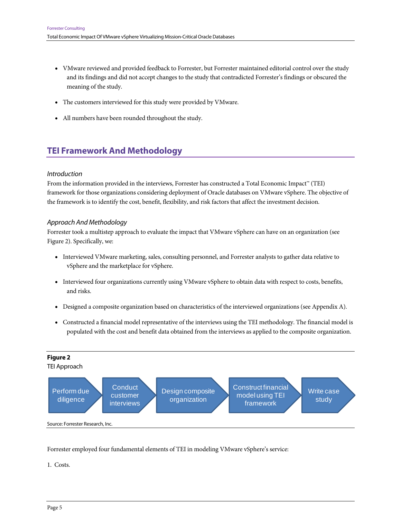- VMware reviewed and provided feedback to Forrester, but Forrester maintained editorial control over the study and its findings and did not accept changes to the study that contradicted Forrester's findings or obscured the meaning of the study.
- The customers interviewed for this study were provided by VMware.
- All numbers have been rounded throughout the study.

# **TEI Framework And Methodology**

#### Introduction

From the information provided in the interviews, Forrester has constructed a Total Economic Impact™ (TEI) framework for those organizations considering deployment of Oracle databases on VMware vSphere. The objective of the framework is to identify the cost, benefit, flexibility, and risk factors that affect the investment decision.

#### Approach And Methodology

Forrester took a multistep approach to evaluate the impact that VMware vSphere can have on an organization (see Figure 2). Specifically, we:

- Interviewed VMware marketing, sales, consulting personnel, and Forrester analysts to gather data relative to vSphere and the marketplace for vSphere.
- Interviewed four organizations currently using VMware vSphere to obtain data with respect to costs, benefits, and risks.
- Designed a composite organization based on characteristics of the interviewed organizations (see Appendix A).
- Constructed a financial model representative of the interviews using the TEI methodology. The financial model is populated with the cost and benefit data obtained from the interviews as applied to the composite organization.



Forrester employed four fundamental elements of TEI in modeling VMware vSphere's service:

1. Costs.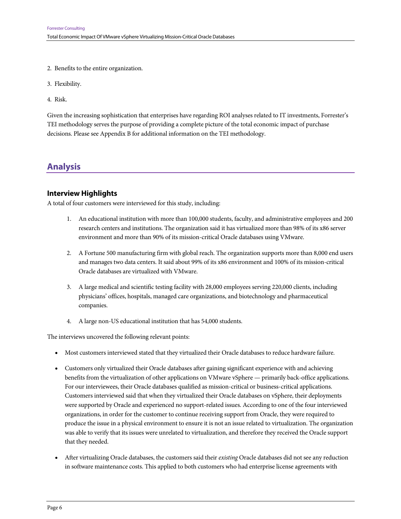- 2. Benefits to the entire organization.
- 3. Flexibility.
- 4. Risk.

Given the increasing sophistication that enterprises have regarding ROI analyses related to IT investments, Forrester's TEI methodology serves the purpose of providing a complete picture of the total economic impact of purchase decisions. Please see Appendix B for additional information on the TEI methodology.

# **Analysis**

## **Interview Highlights**

A total of four customers were interviewed for this study, including:

- 1. An educational institution with more than 100,000 students, faculty, and administrative employees and 200 research centers and institutions. The organization said it has virtualized more than 98% of its x86 server environment and more than 90% of its mission-critical Oracle databases using VMware.
- 2. A Fortune 500 manufacturing firm with global reach. The organization supports more than 8,000 end users and manages two data centers. It said about 99% of its x86 environment and 100% of its mission-critical Oracle databases are virtualized with VMware.
- 3. A large medical and scientific testing facility with 28,000 employees serving 220,000 clients, including physicians' offices, hospitals, managed care organizations, and biotechnology and pharmaceutical companies.
- 4. A large non-US educational institution that has 54,000 students.

The interviews uncovered the following relevant points:

- Most customers interviewed stated that they virtualized their Oracle databases to reduce hardware failure.
- Customers only virtualized their Oracle databases after gaining significant experience with and achieving benefits from the virtualization of other applications on VMware vSphere — primarily back-office applications. For our interviewees, their Oracle databases qualified as mission-critical or business-critical applications. Customers interviewed said that when they virtualized their Oracle databases on vSphere, their deployments were supported by Oracle and experienced no support-related issues. According to one of the four interviewed organizations, in order for the customer to continue receiving support from Oracle, they were required to produce the issue in a physical environment to ensure it is not an issue related to virtualization. The organization was able to verify that its issues were unrelated to virtualization, and therefore they received the Oracle support that they needed.
- After virtualizing Oracle databases, the customers said their *existing* Oracle databases did not see any reduction in software maintenance costs. This applied to both customers who had enterprise license agreements with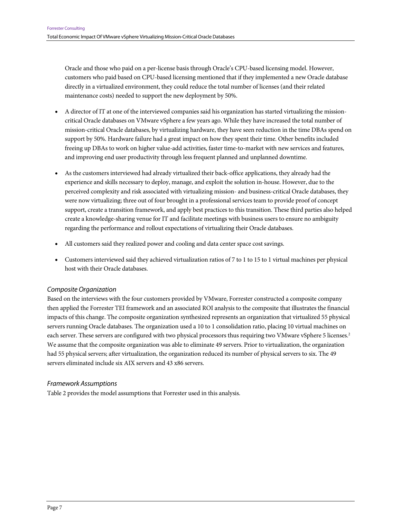Oracle and those who paid on a per-license basis through Oracle's CPU-based licensing model. However, customers who paid based on CPU-based licensing mentioned that if they implemented a new Oracle database directly in a virtualized environment, they could reduce the total number of licenses (and their related maintenance costs) needed to support the new deployment by 50%.

- A director of IT at one of the interviewed companies said his organization has started virtualizing the missioncritical Oracle databases on VMware vSphere a few years ago. While they have increased the total number of mission-critical Oracle databases, by virtualizing hardware, they have seen reduction in the time DBAs spend on support by 50%. Hardware failure had a great impact on how they spent their time. Other benefits included freeing up DBAs to work on higher value-add activities, faster time-to-market with new services and features, and improving end user productivity through less frequent planned and unplanned downtime.
- As the customers interviewed had already virtualized their back-office applications, they already had the experience and skills necessary to deploy, manage, and exploit the solution in-house. However, due to the perceived complexity and risk associated with virtualizing mission- and business-critical Oracle databases, they were now virtualizing; three out of four brought in a professional services team to provide proof of concept support, create a transition framework, and apply best practices to this transition. These third parties also helped create a knowledge-sharing venue for IT and facilitate meetings with business users to ensure no ambiguity regarding the performance and rollout expectations of virtualizing their Oracle databases.
- All customers said they realized power and cooling and data center space cost savings.
- Customers interviewed said they achieved virtualization ratios of 7 to 1 to 15 to 1 virtual machines per physical host with their Oracle databases.

## Composite Organization

Based on the interviews with the four customers provided by VMware, Forrester constructed a composite company then applied the Forrester TEI framework and an associated ROI analysis to the composite that illustrates the financial impacts of this change. The composite organization synthesized represents an organization that virtualized 55 physical servers running Oracle databases. The organization used a 10 to 1 consolidation ratio, placing 10 virtual machines on each server. These servers are configured with two physical processors thus requiring two VMware vSphere 5 licenses.<sup>2</sup> We assume that the composite organization was able to eliminate 49 servers. Prior to virtualization, the organization had 55 physical servers; after virtualization, the organization reduced its number of physical servers to six. The 49 servers eliminated include six AIX servers and 43 x86 servers.

#### Framework Assumptions

Table 2 provides the model assumptions that Forrester used in this analysis.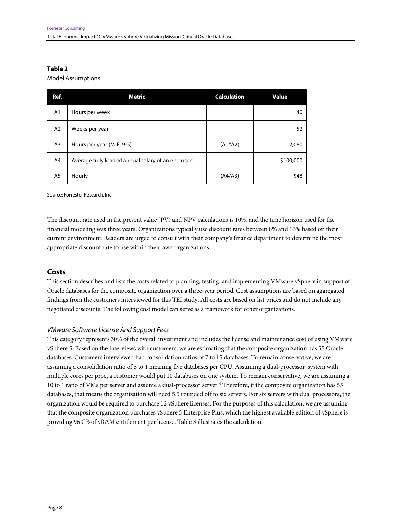#### **Table 2**

Model Assumptions

| Ref.           | Metric                                                         | <b>Calculation</b> | Value     |
|----------------|----------------------------------------------------------------|--------------------|-----------|
| A <sub>1</sub> | Hours per week                                                 |                    | 40        |
| A2             | Weeks per year                                                 |                    | 52        |
| A <sub>3</sub> | Hours per year (M-F, 9-5)                                      | $(A1*A2)$          | 2,080     |
| A4             | Average fully loaded annual salary of an end user <sup>3</sup> |                    | \$100,000 |
| A5             | Hourly                                                         | (A4/A3)            | \$48      |

Source: Forrester Research, Inc.

The discount rate used in the present value (PV) and NPV calculations is 10%, and the time horizon used for the financial modeling was three years. Organizations typically use discount rates between 8% and 16% based on their current environment. Readers are urged to consult with their company's finance department to determine the most appropriate discount rate to use within their own organizations.

## **Costs**

This section describes and lists the costs related to planning, testing, and implementing VMware vSphere in support of Oracle databases for the composite organization over a three-year period. Cost assumptions are based on aggregated findings from the customers interviewed for this TEI study. All costs are based on list prices and do not include any negotiated discounts. The following cost model can serve as a framework for other organizations.

#### VMware Software License And Support Fees

This category represents 30% of the overall investment and includes the license and maintenance cost of using VMware vSphere 5. Based on the interviews with customers, we are estimating that the composite organization has 55 Oracle databases. Customers interviewed had consolidation ratios of 7 to 15 databases. To remain conservative, we are assuming a consolidation ratio of 5 to 1 meaning five databases per CPU. Assuming a dual-processor system with multiple cores per proc, a customer would put 10 databases on one system. To remain conservative, we are assuming a 10 to 1 ratio of VMs per server and assume a dual-processor server.<sup>4</sup> Therefore, if the composite organization has 55 databases, that means the organization will need 5.5 rounded off to six servers. For six servers with dual processors, the organization would be required to purchase 12 vSphere licenses. For the purposes of this calculation, we are assuming that the composite organization purchases vSphere 5 Enterprise Plus, which the highest available edition of vSphere is providing 96 GB of vRAM entitlement per license. Table 3 illustrates the calculation.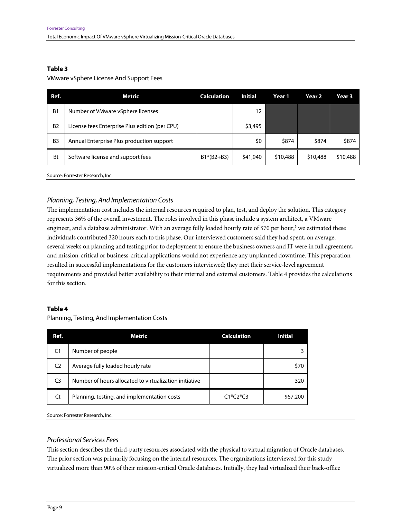#### **Table 3**

#### VMware vSphere License And Support Fees

| Ref.           | Metric                                         | <b>Calculation</b> | <b>Initial</b> | Year 1   | Year 2   | Year 3   |
|----------------|------------------------------------------------|--------------------|----------------|----------|----------|----------|
| B <sub>1</sub> | Number of VMware vSphere licenses              |                    | 12             |          |          |          |
| B <sub>2</sub> | License fees Enterprise Plus edition (per CPU) |                    | \$3,495        |          |          |          |
| B <sub>3</sub> | Annual Enterprise Plus production support      |                    | \$0            | \$874    | \$874    | \$874    |
| Bt             | Software license and support fees              | $B1*(B2+B3)$       | \$41,940       | \$10,488 | \$10,488 | \$10,488 |
|                |                                                |                    |                |          |          |          |

Source: Forrester Research, Inc.

## Planning, Testing, And Implementation Costs

The implementation cost includes the internal resources required to plan, test, and deploy the solution. This category represents 36% of the overall investment. The roles involved in this phase include a system architect, a VMware engineer, and a database administrator. With an average fully loaded hourly rate of \$70 per hour,<sup>5</sup> we estimated these individuals contributed 320 hours each to this phase. Our interviewed customers said they had spent, on average, several weeks on planning and testing prior to deployment to ensure the business owners and IT were in full agreement, and mission-critical or business-critical applications would not experience any unplanned downtime. This preparation resulted in successful implementations for the customers interviewed; they met their service-level agreement requirements and provided better availability to their internal and external customers. Table 4 provides the calculations for this section.

#### **Table 4**

Planning, Testing, And Implementation Costs

| Ref.           | Metric                                                 | <b>Calculation</b> | Initial  |
|----------------|--------------------------------------------------------|--------------------|----------|
| C <sub>1</sub> | Number of people                                       |                    |          |
| C <sub>2</sub> | Average fully loaded hourly rate                       |                    | \$70     |
| C <sub>3</sub> | Number of hours allocated to virtualization initiative |                    | 320      |
| Ct             | Planning, testing, and implementation costs            | $C1*C2*C3$         | \$67,200 |

Source: Forrester Research, Inc.

## Professional Services Fees

This section describes the third-party resources associated with the physical to virtual migration of Oracle databases. The prior section was primarily focusing on the internal resources. The organizations interviewed for this study virtualized more than 90% of their mission-critical Oracle databases. Initially, they had virtualized their back-office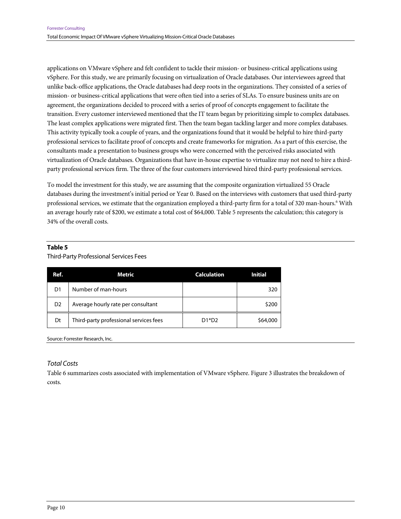applications on VMware vSphere and felt confident to tackle their mission- or business-critical applications using vSphere. For this study, we are primarily focusing on virtualization of Oracle databases. Our interviewees agreed that unlike back-office applications, the Oracle databases had deep roots in the organizations. They consisted of a series of mission- or business-critical applications that were often tied into a series of SLAs. To ensure business units are on agreement, the organizations decided to proceed with a series of proof of concepts engagement to facilitate the transition. Every customer interviewed mentioned that the IT team began by prioritizing simple to complex databases. The least complex applications were migrated first. Then the team began tackling larger and more complex databases. This activity typically took a couple of years, and the organizations found that it would be helpful to hire third-party professional services to facilitate proof of concepts and create frameworks for migration. As a part of this exercise, the consultants made a presentation to business groups who were concerned with the perceived risks associated with virtualization of Oracle databases. Organizations that have in-house expertise to virtualize may not need to hire a thirdparty professional services firm. The three of the four customers interviewed hired third-party professional services.

To model the investment for this study, we are assuming that the composite organization virtualized 55 Oracle databases during the investment's initial period or Year 0. Based on the interviews with customers that used third-party professional services, we estimate that the organization employed a third-party firm for a total of 320 man-hours.<sup>6</sup> With an average hourly rate of \$200, we estimate a total cost of \$64,000. Table 5 represents the calculation; this category is 34% of the overall costs.

#### **Table 5**

#### Third-Party Professional Services Fees

| Ref.           | Metric                                 | <b>Calculation</b> | <b>Initial</b> |
|----------------|----------------------------------------|--------------------|----------------|
| D1             | Number of man-hours                    |                    | 320            |
| D <sub>2</sub> | Average hourly rate per consultant     |                    | \$200          |
| Dt             | Third-party professional services fees | $D1*D2$            | \$64,000       |

Source: Forrester Research, Inc.

#### Total Costs

Table 6 summarizes costs associated with implementation of VMware vSphere. Figure 3 illustrates the breakdown of costs.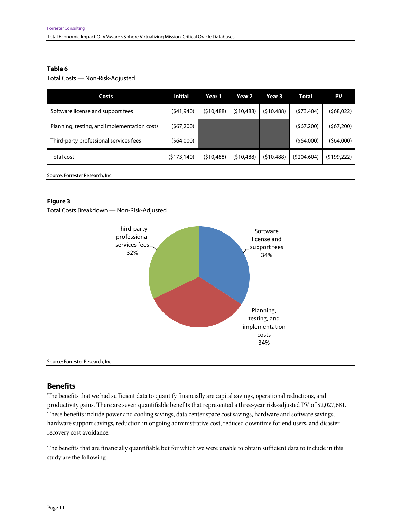#### **Table 6**

Total Costs — Non-Risk-Adjusted

| Costs                                       | <b>Initial</b> | Year 1     | Year 2     | Year 3     | Total       | PV          |
|---------------------------------------------|----------------|------------|------------|------------|-------------|-------------|
| Software license and support fees           | (\$41,940)     | (510, 488) | (510, 488) | (510, 488) | (\$73,404)  | (568,022)   |
| Planning, testing, and implementation costs | (\$67,200)     |            |            |            | (567,200)   | (\$67,200)  |
| Third-party professional services fees      | (\$64,000)     |            |            |            | (\$64,000)  | (\$64,000)  |
| Total cost                                  | (5173, 140)    | (510, 488) | (510, 488) | (510, 488) | (5204, 604) | (5199, 222) |

Source: Forrester Research, Inc.

#### **Figure 3**

Total Costs Breakdown — Non-Risk-Adjusted



Source: Forrester Research, Inc.

#### **Benefits**

The benefits that we had sufficient data to quantify financially are capital savings, operational reductions, and productivity gains. There are seven quantifiable benefits that represented a three-year risk-adjusted PV of \$2,027,681. These benefits include power and cooling savings, data center space cost savings, hardware and software savings, hardware support savings, reduction in ongoing administrative cost, reduced downtime for end users, and disaster recovery cost avoidance.

The benefits that are financially quantifiable but for which we were unable to obtain sufficient data to include in this study are the following: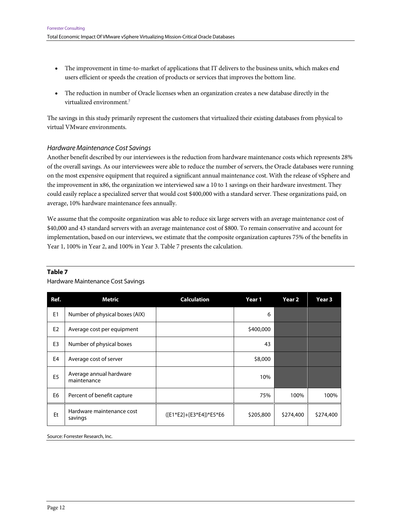- The improvement in time-to-market of applications that IT delivers to the business units, which makes end users efficient or speeds the creation of products or services that improves the bottom line.
- The reduction in number of Oracle licenses when an organization creates a new database directly in the virtualized environment.<sup>7</sup>

The savings in this study primarily represent the customers that virtualized their existing databases from physical to virtual VMware environments.

#### Hardware Maintenance Cost Savings

Another benefit described by our interviewees is the reduction from hardware maintenance costs which represents 28% of the overall savings. As our interviewees were able to reduce the number of servers, the Oracle databases were running on the most expensive equipment that required a significant annual maintenance cost. With the release of vSphere and the improvement in x86, the organization we interviewed saw a 10 to 1 savings on their hardware investment. They could easily replace a specialized server that would cost \$400,000 with a standard server. These organizations paid, on average, 10% hardware maintenance fees annually.

We assume that the composite organization was able to reduce six large servers with an average maintenance cost of \$40,000 and 43 standard servers with an average maintenance cost of \$800. To remain conservative and account for implementation, based on our interviews, we estimate that the composite organization captures 75% of the benefits in Year 1, 100% in Year 2, and 100% in Year 3. Table 7 presents the calculation.

#### **Table 7**

#### Hardware Maintenance Cost Savings

| Ref.           | <b>Metric</b>                          | <b>Calculation</b>      | Year 1    | Year 2    | Year 3    |
|----------------|----------------------------------------|-------------------------|-----------|-----------|-----------|
| E <sub>1</sub> | Number of physical boxes (AIX)         |                         | 6         |           |           |
| E <sub>2</sub> | Average cost per equipment             |                         | \$400,000 |           |           |
| E <sub>3</sub> | Number of physical boxes               |                         | 43        |           |           |
| E4             | Average cost of server                 |                         | \$8,000   |           |           |
| E <sub>5</sub> | Average annual hardware<br>maintenance |                         | 10%       |           |           |
| E <sub>6</sub> | Percent of benefit capture             |                         | 75%       | 100%      | 100%      |
| Et             | Hardware maintenance cost<br>savings   | ([E1*E2]+[E3*E4])*E5*E6 | \$205,800 | \$274,400 | \$274,400 |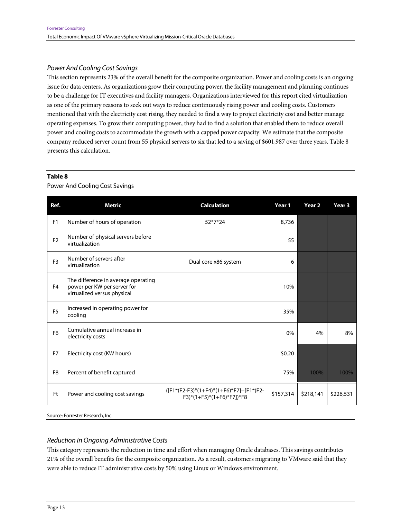#### Power And Cooling Cost Savings

This section represents 23% of the overall benefit for the composite organization. Power and cooling costs is an ongoing issue for data centers. As organizations grow their computing power, the facility management and planning continues to be a challenge for IT executives and facility managers. Organizations interviewed for this report cited virtualization as one of the primary reasons to seek out ways to reduce continuously rising power and cooling costs. Customers mentioned that with the electricity cost rising, they needed to find a way to project electricity cost and better manage operating expenses. To grow their computing power, they had to find a solution that enabled them to reduce overall power and cooling costs to accommodate the growth with a capped power capacity. We estimate that the composite company reduced server count from 55 physical servers to six that led to a saving of \$601,987 over three years. Table 8 presents this calculation.

#### **Table 8**

Power And Cooling Cost Savings

| Ref.           | <b>Metric</b>                                                                                     | <b>Calculation</b>                                                                                                                  | Year 1    | Year <sub>2</sub> | Year <sub>3</sub> |
|----------------|---------------------------------------------------------------------------------------------------|-------------------------------------------------------------------------------------------------------------------------------------|-----------|-------------------|-------------------|
| F <sub>1</sub> | Number of hours of operation                                                                      | 52*7*24                                                                                                                             | 8,736     |                   |                   |
| F <sub>2</sub> | Number of physical servers before<br>virtualization                                               |                                                                                                                                     | 55        |                   |                   |
| F <sub>3</sub> | Number of servers after<br>virtualization                                                         | Dual core x86 system                                                                                                                | 6         |                   |                   |
| F <sub>4</sub> | The difference in average operating<br>power per KW per server for<br>virtualized versus physical |                                                                                                                                     | 10%       |                   |                   |
| F <sub>5</sub> | Increased in operating power for<br>cooling                                                       |                                                                                                                                     | 35%       |                   |                   |
| F <sub>6</sub> | Cumulative annual increase in<br>electricity costs                                                |                                                                                                                                     | 0%        | 4%                | 8%                |
| F7             | Electricity cost (KW hours)                                                                       |                                                                                                                                     | \$0.20    |                   |                   |
| F <sub>8</sub> | Percent of benefit captured                                                                       |                                                                                                                                     | 75%       | 100%              | 100%              |
| Ft             | Power and cooling cost savings                                                                    | ([F1*(F2-F3)*(1+F4)*(1+F6)*F7]+[F1*(F2-<br>$F3$ <sup>*</sup> $(1 + F5)$ <sup>*</sup> $(1 + F6)$ <sup>*</sup> $F7$ <sup>*</sup> $F8$ | \$157,314 | \$218,141         | \$226,531         |

Source: Forrester Research, Inc.

## Reduction In Ongoing Administrative Costs

This category represents the reduction in time and effort when managing Oracle databases. This savings contributes 21% of the overall benefits for the composite organization. As a result, customers migrating to VMware said that they were able to reduce IT administrative costs by 50% using Linux or Windows environment.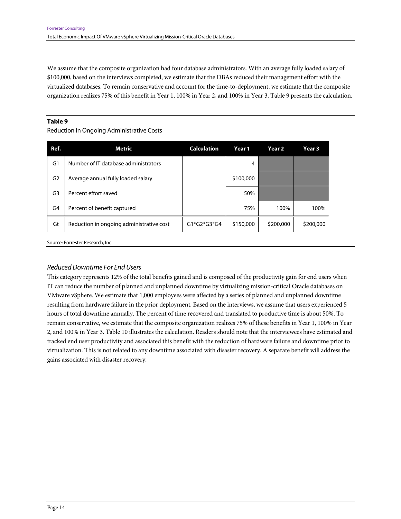We assume that the composite organization had four database administrators. With an average fully loaded salary of \$100,000, based on the interviews completed, we estimate that the DBAs reduced their management effort with the virtualized databases. To remain conservative and account for the time-to-deployment, we estimate that the composite organization realizes 75% of this benefit in Year 1, 100% in Year 2, and 100% in Year 3. Table 9 presents the calculation.

#### **Table 9**

Reduction In Ongoing Administrative Costs

| Ref.           | Metric                                   | <b>Calculation</b> | Year 1    | Year 2    | Year 3    |
|----------------|------------------------------------------|--------------------|-----------|-----------|-----------|
| G1             | Number of IT database administrators     |                    | 4         |           |           |
| G <sub>2</sub> | Average annual fully loaded salary       |                    | \$100,000 |           |           |
| G3             | Percent effort saved                     |                    | 50%       |           |           |
| G4             | Percent of benefit captured              |                    | 75%       | 100%      | 100%      |
| Gt             | Reduction in ongoing administrative cost | $G1*G2*G3*G4$      | \$150,000 | \$200,000 | \$200,000 |

Source: Forrester Research, Inc.

#### Reduced Downtime For End Users

This category represents 12% of the total benefits gained and is composed of the productivity gain for end users when IT can reduce the number of planned and unplanned downtime by virtualizing mission-critical Oracle databases on VMware vSphere. We estimate that 1,000 employees were affected by a series of planned and unplanned downtime resulting from hardware failure in the prior deployment. Based on the interviews, we assume that users experienced 5 hours of total downtime annually. The percent of time recovered and translated to productive time is about 50%. To remain conservative, we estimate that the composite organization realizes 75% of these benefits in Year 1, 100% in Year 2, and 100% in Year 3. Table 10 illustrates the calculation. Readers should note that the interviewees have estimated and tracked end user productivity and associated this benefit with the reduction of hardware failure and downtime prior to virtualization. This is not related to any downtime associated with disaster recovery. A separate benefit will address the gains associated with disaster recovery.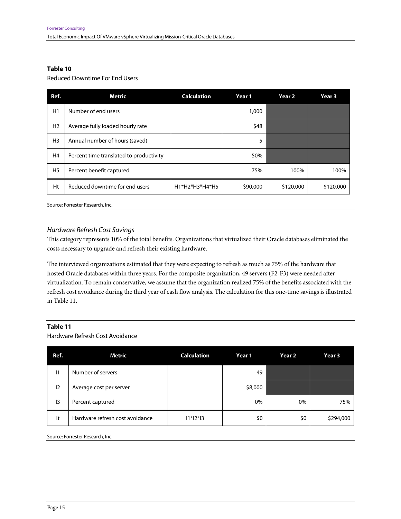#### **Table 10**

Reduced Downtime For End Users

| Ref.           | Metric                                  | <b>Calculation</b> | Year 1   | Year 2    | Year <sub>3</sub> |
|----------------|-----------------------------------------|--------------------|----------|-----------|-------------------|
| H1             | Number of end users                     |                    | 1,000    |           |                   |
| H <sub>2</sub> | Average fully loaded hourly rate        |                    | \$48     |           |                   |
| H <sub>3</sub> | Annual number of hours (saved)          |                    | 5        |           |                   |
| H4             | Percent time translated to productivity |                    | 50%      |           |                   |
| H <sub>5</sub> | Percent benefit captured                |                    | 75%      | 100%      | 100%              |
| Ht             | Reduced downtime for end users          | H1*H2*H3*H4*H5     | \$90,000 | \$120,000 | \$120,000         |

Source: Forrester Research, Inc.

#### Hardware Refresh Cost Savings

This category represents 10% of the total benefits. Organizations that virtualized their Oracle databases eliminated the costs necessary to upgrade and refresh their existing hardware.

The interviewed organizations estimated that they were expecting to refresh as much as 75% of the hardware that hosted Oracle databases within three years. For the composite organization, 49 servers (F2-F3) were needed after virtualization. To remain conservative, we assume that the organization realized 75% of the benefits associated with the refresh cost avoidance during the third year of cash flow analysis. The calculation for this one-time savings is illustrated in Table 11.

#### **Table 11**

Hardware Refresh Cost Avoidance

| Ref.            | Metric                          | <b>Calculation</b> | Year 1  | <b>Year 2</b> | Year 3    |
|-----------------|---------------------------------|--------------------|---------|---------------|-----------|
| 11              | Number of servers               |                    | 49      |               |           |
| 12              | Average cost per server         |                    | \$8,000 |               |           |
| $\overline{13}$ | Percent captured                |                    | 0%      | $0\%$         | 75%       |
| It              | Hardware refresh cost avoidance | $11*12*13$         | \$0     | \$0           | \$294,000 |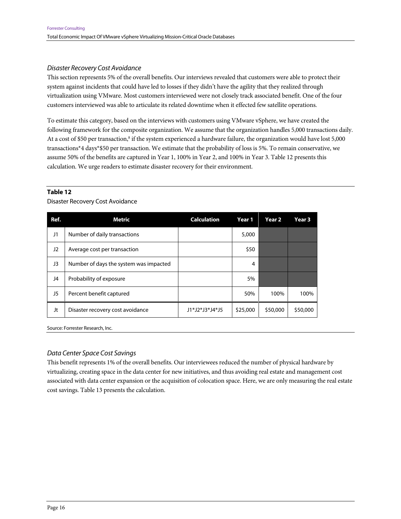#### Disaster Recovery Cost Avoidance

This section represents 5% of the overall benefits. Our interviews revealed that customers were able to protect their system against incidents that could have led to losses if they didn't have the agility that they realized through virtualization using VMware. Most customers interviewed were not closely track associated benefit. One of the four customers interviewed was able to articulate its related downtime when it effected few satellite operations.

To estimate this category, based on the interviews with customers using VMware vSphere, we have created the following framework for the composite organization. We assume that the organization handles 5,000 transactions daily. At a cost of \$50 per transaction,<sup>8</sup> if the system experienced a hardware failure, the organization would have lost 5,000 transactions\*4 days\*\$50 per transaction. We estimate that the probability of loss is 5%. To remain conservative, we assume 50% of the benefits are captured in Year 1, 100% in Year 2, and 100% in Year 3. Table 12 presents this calculation. We urge readers to estimate disaster recovery for their environment.

#### **Table 12**

Disaster Recovery Cost Avoidance

| Ref. | Metric                                 | <b>Calculation</b> | Year 1   | Year <sub>2</sub> | Year <sub>3</sub> |
|------|----------------------------------------|--------------------|----------|-------------------|-------------------|
| J1   | Number of daily transactions           |                    | 5,000    |                   |                   |
| J2   | Average cost per transaction           |                    | \$50     |                   |                   |
| J3   | Number of days the system was impacted |                    | 4        |                   |                   |
| J4   | Probability of exposure                |                    | 5%       |                   |                   |
| J5   | Percent benefit captured               |                    | 50%      | 100%              | 100%              |
| Jt   | Disaster recovery cost avoidance       | J1*J2*J3*J4*J5     | \$25,000 | \$50,000          | \$50,000          |

Source: Forrester Research, Inc.

#### Data Center Space Cost Savings

This benefit represents 1% of the overall benefits. Our interviewees reduced the number of physical hardware by virtualizing, creating space in the data center for new initiatives, and thus avoiding real estate and management cost associated with data center expansion or the acquisition of colocation space. Here, we are only measuring the real estate cost savings. Table 13 presents the calculation.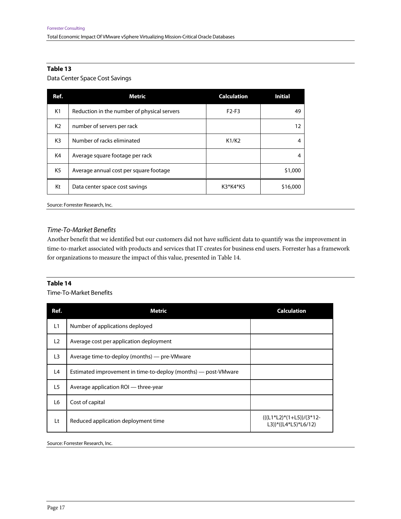#### **Table 13**

Data Center Space Cost Savings

| Ref.           | <b>Metric</b>                               | <b>Calculation</b> | <b>Initial</b> |
|----------------|---------------------------------------------|--------------------|----------------|
| K <sub>1</sub> | Reduction in the number of physical servers | $F2-F3$            | 49             |
| K2             | number of servers per rack                  |                    | 12             |
| K3             | Number of racks eliminated                  | K1/K2              |                |
| K4             | Average square footage per rack             |                    |                |
| K <sub>5</sub> | Average annual cost per square footage      |                    | \$1,000        |
| Kt             | Data center space cost savings              | K3*K4*K5           | \$16,000       |

Source: Forrester Research, Inc.

#### Time-To-Market Benefits

Another benefit that we identified but our customers did not have sufficient data to quantify was the improvement in time-to-market associated with products and services that IT creates for business end users. Forrester has a framework for organizations to measure the impact of this value, presented in Table 14.

#### **Table 14**

Time-To-Market Benefits

| Ref.           | <b>Metric</b>                                                  | <b>Calculation</b>                               |
|----------------|----------------------------------------------------------------|--------------------------------------------------|
| L1             | Number of applications deployed                                |                                                  |
| L2             | Average cost per application deployment                        |                                                  |
| L <sub>3</sub> | Average time-to-deploy (months) — pre-VMware                   |                                                  |
| L4             | Estimated improvement in time-to-deploy (months) — post-VMware |                                                  |
| L5             | Average application ROI — three-year                           |                                                  |
| L <sub>6</sub> | Cost of capital                                                |                                                  |
| Lt             | Reduced application deployment time                            | $((L1*L2)*(1+L5))/3*12-$<br>L3))*((L4*L5)*L6/12) |
|                |                                                                |                                                  |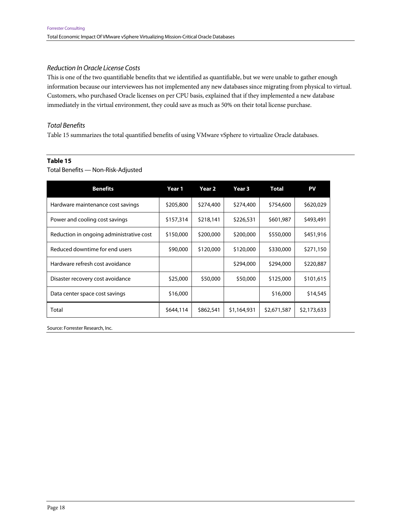#### Reduction In Oracle License Costs

This is one of the two quantifiable benefits that we identified as quantifiable, but we were unable to gather enough information because our interviewees has not implemented any new databases since migrating from physical to virtual. Customers, who purchased Oracle licenses on per CPU basis, explained that if they implemented a new database immediately in the virtual environment, they could save as much as 50% on their total license purchase.

#### Total Benefits

Table 15 summarizes the total quantified benefits of using VMware vSphere to virtualize Oracle databases.

#### **Table 15**

#### Total Benefits — Non-Risk-Adjusted

| <b>Benefits</b>                          | Year 1    | Year 2    | Year 3      | <b>Total</b> | PV          |
|------------------------------------------|-----------|-----------|-------------|--------------|-------------|
| Hardware maintenance cost savings        | \$205,800 | \$274,400 | \$274,400   | \$754,600    | \$620,029   |
| Power and cooling cost savings           | \$157,314 | \$218,141 | \$226,531   | \$601,987    | \$493,491   |
| Reduction in ongoing administrative cost | \$150,000 | \$200,000 | \$200,000   | \$550,000    | \$451,916   |
| Reduced downtime for end users           | \$90,000  | \$120,000 | \$120,000   | \$330,000    | \$271,150   |
| Hardware refresh cost avoidance          |           |           | \$294,000   | \$294,000    | \$220,887   |
| Disaster recovery cost avoidance         | \$25,000  | \$50,000  | \$50,000    | \$125,000    | \$101,615   |
| Data center space cost savings           | \$16,000  |           |             | \$16,000     | \$14,545    |
| Total                                    | \$644,114 | \$862,541 | \$1,164,931 | \$2,671,587  | \$2,173,633 |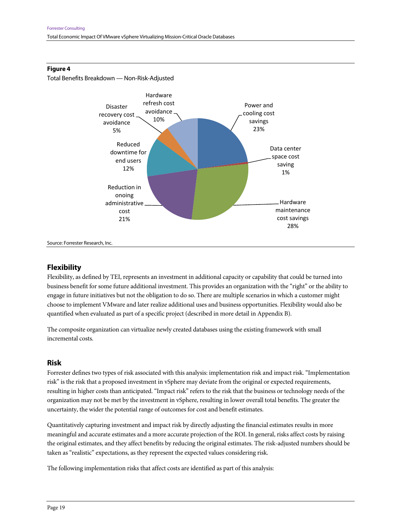

#### **Figure 4**

Total Benefits Breakdown — Non-Risk-Adjusted

# **Flexibility**

Flexibility, as defined by TEI, represents an investment in additional capacity or capability that could be turned into business benefit for some future additional investment. This provides an organization with the "right" or the ability to engage in future initiatives but not the obligation to do so. There are multiple scenarios in which a customer might choose to implement VMware and later realize additional uses and business opportunities. Flexibility would also be quantified when evaluated as part of a specific project (described in more detail in Appendix B).

The composite organization can virtualize newly created databases using the existing framework with small incremental costs.

#### **Risk**

Forrester defines two types of risk associated with this analysis: implementation risk and impact risk. "Implementation risk" is the risk that a proposed investment in vSphere may deviate from the original or expected requirements, resulting in higher costs than anticipated. "Impact risk" refers to the risk that the business or technology needs of the organization may not be met by the investment in vSphere, resulting in lower overall total benefits. The greater the uncertainty, the wider the potential range of outcomes for cost and benefit estimates.

Quantitatively capturing investment and impact risk by directly adjusting the financial estimates results in more meaningful and accurate estimates and a more accurate projection of the ROI. In general, risks affect costs by raising the original estimates, and they affect benefits by reducing the original estimates. The risk-adjusted numbers should be taken as "realistic" expectations, as they represent the expected values considering risk.

The following implementation risks that affect costs are identified as part of this analysis: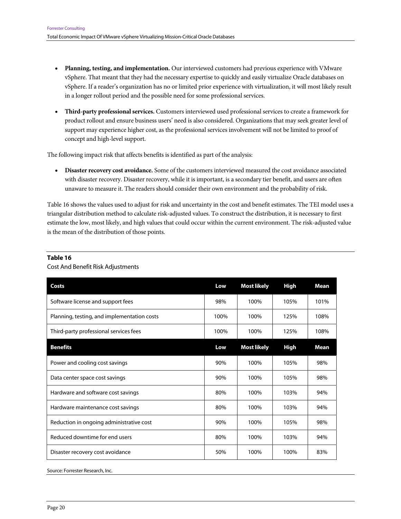- **Planning, testing, and implementation.** Our interviewed customers had previous experience with VMware vSphere. That meant that they had the necessary expertise to quickly and easily virtualize Oracle databases on vSphere. If a reader's organization has no or limited prior experience with virtualization, it will most likely result in a longer rollout period and the possible need for some professional services.
- **Third-party professional services.** Customers interviewed used professional services to create a framework for product rollout and ensure business users' need is also considered. Organizations that may seek greater level of support may experience higher cost, as the professional services involvement will not be limited to proof of concept and high-level support.

The following impact risk that affects benefits is identified as part of the analysis:

 **Disaster recovery cost avoidance.** Some of the customers interviewed measured the cost avoidance associated with disaster recovery. Disaster recovery, while it is important, is a secondary tier benefit, and users are often unaware to measure it. The readers should consider their own environment and the probability of risk.

Table 16 shows the values used to adjust for risk and uncertainty in the cost and benefit estimates. The TEI model uses a triangular distribution method to calculate risk-adjusted values. To construct the distribution, it is necessary to first estimate the low, most likely, and high values that could occur within the current environment. The risk-adjusted value is the mean of the distribution of those points.

| Costs                                       | Low  | <b>Most likely</b> | <b>High</b> | <b>Mean</b> |
|---------------------------------------------|------|--------------------|-------------|-------------|
| Software license and support fees           | 98%  | 100%               | 105%        | 101%        |
| Planning, testing, and implementation costs | 100% | 100%               | 125%        | 108%        |
| Third-party professional services fees      | 100% | 100%               | 125%        | 108%        |
| <b>Benefits</b>                             | Low  | <b>Most likely</b> | <b>High</b> | <b>Mean</b> |
| Power and cooling cost savings              | 90%  | 100%               | 105%        | 98%         |
| Data center space cost savings              | 90%  | 100%               | 105%        | 98%         |
| Hardware and software cost savings          | 80%  | 100%               | 103%        | 94%         |
| Hardware maintenance cost savings           | 80%  | 100%               | 103%        | 94%         |
| Reduction in ongoing administrative cost    | 90%  | 100%               | 105%        | 98%         |
| Reduced downtime for end users              | 80%  | 100%               | 103%        | 94%         |
| Disaster recovery cost avoidance            | 50%  | 100%               | 100%        | 83%         |

#### **Table 16**

Cost And Benefit Risk Adjustments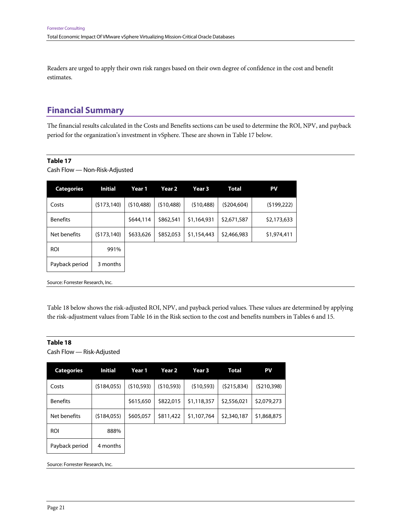Readers are urged to apply their own risk ranges based on their own degree of confidence in the cost and benefit estimates.

# **Financial Summary**

The financial results calculated in the Costs and Benefits sections can be used to determine the ROI, NPV, and payback period for the organization's investment in vSphere. These are shown in Table 17 below.

#### **Table 17**

Cash Flow — Non-Risk-Adjusted

| <b>Categories</b> | <b>Initial</b> | Year 1     | Year <sub>2</sub> | Year <sub>3</sub> | <b>Total</b> | PV          |
|-------------------|----------------|------------|-------------------|-------------------|--------------|-------------|
| Costs             | (5173, 140)    | (510, 488) | (510, 488)        | (510, 488)        | (5204, 604)  | (5199, 222) |
| <b>Benefits</b>   |                | \$644,114  | \$862,541         | \$1,164,931       | \$2,671,587  | \$2,173,633 |
| Net benefits      | (5173, 140)    | \$633,626  | \$852,053         | \$1,154,443       | \$2,466,983  | \$1,974,411 |
| <b>ROI</b>        | 991%           |            |                   |                   |              |             |
| Payback period    | 3 months       |            |                   |                   |              |             |

Source: Forrester Research, Inc.

Table 18 below shows the risk-adjusted ROI, NPV, and payback period values. These values are determined by applying the risk-adjustment values from Table 16 in the Risk section to the cost and benefits numbers in Tables 6 and 15.

#### **Table 18**

Cash Flow — Risk-Adjusted

| <b>Categories</b> | <b>Initial</b> | Year 1     | Year <sub>2</sub> | Year <sub>3</sub> | Total       | PV          |
|-------------------|----------------|------------|-------------------|-------------------|-------------|-------------|
| Costs             | (5184,055)     | (510, 593) | (510, 593)        | (510, 593)        | (5215, 834) | (5210, 398) |
| <b>Benefits</b>   |                | \$615,650  | \$822,015         | \$1,118,357       | \$2,556,021 | \$2,079,273 |
| Net benefits      | (5184,055)     | \$605,057  | \$811,422         | \$1,107,764       | \$2,340,187 | \$1,868,875 |
| <b>ROI</b>        | 888%           |            |                   |                   |             |             |
| Payback period    | 4 months       |            |                   |                   |             |             |
|                   |                |            |                   |                   |             |             |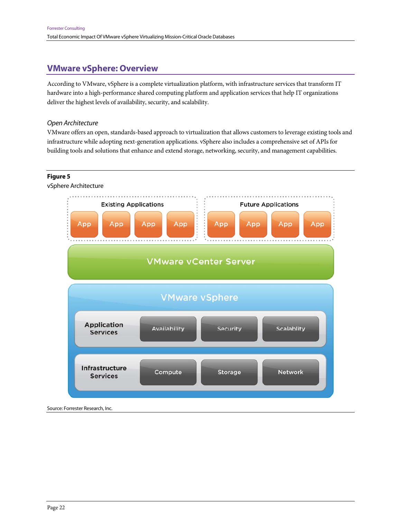# **VMware vSphere: Overview**

According to VMware, vSphere is a complete virtualization platform, with infrastructure services that transform IT hardware into a high-performance shared computing platform and application services that help IT organizations deliver the highest levels of availability, security, and scalability.

#### Open Architecture

VMware offers an open, standards-based approach to virtualization that allows customers to leverage existing tools and infrastructure while adopting next-generation applications. vSphere also includes a comprehensive set of APIs for building tools and solutions that enhance and extend storage, networking, security, and management capabilities.

#### **Figure 5**

vSphere Architecture

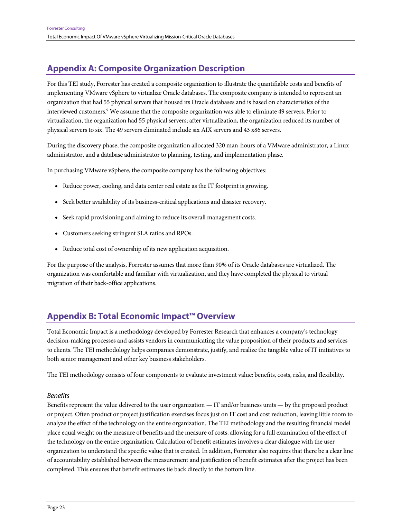# **Appendix A: Composite Organization Description**

For this TEI study, Forrester has created a composite organization to illustrate the quantifiable costs and benefits of implementing VMware vSphere to virtualize Oracle databases. The composite company is intended to represent an organization that had 55 physical servers that housed its Oracle databases and is based on characteristics of the interviewed customers.<sup>9</sup> We assume that the composite organization was able to eliminate 49 servers. Prior to virtualization, the organization had 55 physical servers; after virtualization, the organization reduced its number of physical servers to six. The 49 servers eliminated include six AIX servers and 43 x86 servers.

During the discovery phase, the composite organization allocated 320 man-hours of a VMware administrator, a Linux administrator, and a database administrator to planning, testing, and implementation phase.

In purchasing VMware vSphere, the composite company has the following objectives:

- Reduce power, cooling, and data center real estate as the IT footprint is growing.
- Seek better availability of its business-critical applications and disaster recovery.
- Seek rapid provisioning and aiming to reduce its overall management costs.
- Customers seeking stringent SLA ratios and RPOs.
- Reduce total cost of ownership of its new application acquisition.

For the purpose of the analysis, Forrester assumes that more than 90% of its Oracle databases are virtualized. The organization was comfortable and familiar with virtualization, and they have completed the physical to virtual migration of their back-office applications.

# **Appendix B: Total Economic Impact™ Overview**

Total Economic Impact is a methodology developed by Forrester Research that enhances a company's technology decision-making processes and assists vendors in communicating the value proposition of their products and services to clients. The TEI methodology helps companies demonstrate, justify, and realize the tangible value of IT initiatives to both senior management and other key business stakeholders.

The TEI methodology consists of four components to evaluate investment value: benefits, costs, risks, and flexibility.

#### Benefits

Benefits represent the value delivered to the user organization — IT and/or business units — by the proposed product or project. Often product or project justification exercises focus just on IT cost and cost reduction, leaving little room to analyze the effect of the technology on the entire organization. The TEI methodology and the resulting financial model place equal weight on the measure of benefits and the measure of costs, allowing for a full examination of the effect of the technology on the entire organization. Calculation of benefit estimates involves a clear dialogue with the user organization to understand the specific value that is created. In addition, Forrester also requires that there be a clear line of accountability established between the measurement and justification of benefit estimates after the project has been completed. This ensures that benefit estimates tie back directly to the bottom line.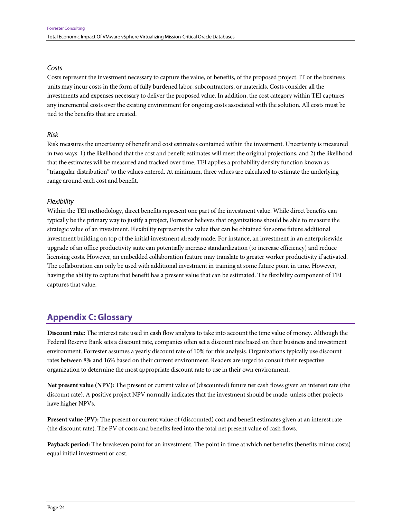#### Costs

Costs represent the investment necessary to capture the value, or benefits, of the proposed project. IT or the business units may incur costs in the form of fully burdened labor, subcontractors, or materials. Costs consider all the investments and expenses necessary to deliver the proposed value. In addition, the cost category within TEI captures any incremental costs over the existing environment for ongoing costs associated with the solution. All costs must be tied to the benefits that are created.

### Risk

Risk measures the uncertainty of benefit and cost estimates contained within the investment. Uncertainty is measured in two ways: 1) the likelihood that the cost and benefit estimates will meet the original projections, and 2) the likelihood that the estimates will be measured and tracked over time. TEI applies a probability density function known as "triangular distribution" to the values entered. At minimum, three values are calculated to estimate the underlying range around each cost and benefit.

### **Flexibility**

Within the TEI methodology, direct benefits represent one part of the investment value. While direct benefits can typically be the primary way to justify a project, Forrester believes that organizations should be able to measure the strategic value of an investment. Flexibility represents the value that can be obtained for some future additional investment building on top of the initial investment already made. For instance, an investment in an enterprisewide upgrade of an office productivity suite can potentially increase standardization (to increase efficiency) and reduce licensing costs. However, an embedded collaboration feature may translate to greater worker productivity if activated. The collaboration can only be used with additional investment in training at some future point in time. However, having the ability to capture that benefit has a present value that can be estimated. The flexibility component of TEI captures that value.

# **Appendix C: Glossary**

**Discount rate:** The interest rate used in cash flow analysis to take into account the time value of money. Although the Federal Reserve Bank sets a discount rate, companies often set a discount rate based on their business and investment environment. Forrester assumes a yearly discount rate of 10% for this analysis. Organizations typically use discount rates between 8% and 16% based on their current environment. Readers are urged to consult their respective organization to determine the most appropriate discount rate to use in their own environment.

**Net present value (NPV):** The present or current value of (discounted) future net cash flows given an interest rate (the discount rate). A positive project NPV normally indicates that the investment should be made, unless other projects have higher NPVs.

**Present value (PV):** The present or current value of (discounted) cost and benefit estimates given at an interest rate (the discount rate). The PV of costs and benefits feed into the total net present value of cash flows.

**Payback period:** The breakeven point for an investment. The point in time at which net benefits (benefits minus costs) equal initial investment or cost.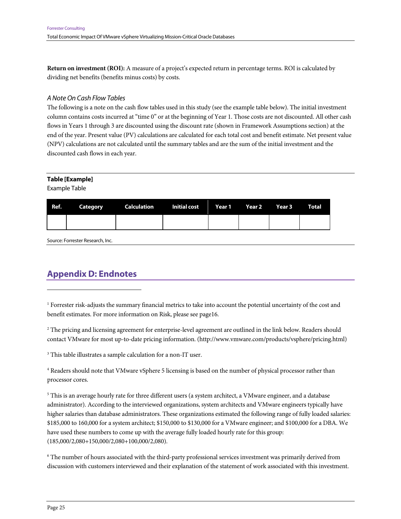**Return on investment (ROI):** A measure of a project's expected return in percentage terms. ROI is calculated by dividing net benefits (benefits minus costs) by costs.

#### A Note On Cash Flow Tables

The following is a note on the cash flow tables used in this study (see the example table below). The initial investment column contains costs incurred at "time 0" or at the beginning of Year 1. Those costs are not discounted. All other cash flows in Years 1 through 3 are discounted using the discount rate (shown in Framework Assumptions section) at the end of the year. Present value (PV) calculations are calculated for each total cost and benefit estimate. Net present value (NPV) calculations are not calculated until the summary tables and are the sum of the initial investment and the discounted cash flows in each year.

#### **Table [Example]**

Example Table

1

|  | Ref. Category Calculation Initial cost Year 1 Year 2 Year 3 Total |  |  |  |
|--|-------------------------------------------------------------------|--|--|--|
|  |                                                                   |  |  |  |

Source: Forrester Research, Inc.

# **Appendix D: Endnotes**

1 Forrester risk-adjusts the summary financial metrics to take into account the potential uncertainty of the cost and benefit estimates. For more information on Risk, please see page16.

2 The pricing and licensing agreement for enterprise-level agreement are outlined in the link below. Readers should contact VMware for most up-to-date pricing information. (http://www.vmware.com/products/vsphere/pricing.html)

<sup>3</sup> This table illustrates a sample calculation for a non-IT user.

4 Readers should note that VMware vSphere 5 licensing is based on the number of physical processor rather than processor cores.

 $^5$  This is an average hourly rate for three different users (a system architect, a VMware engineer, and a database administrator). According to the interviewed organizations, system architects and VMware engineers typically have higher salaries than database administrators. These organizations estimated the following range of fully loaded salaries: \$185,000 to 160,000 for a system architect; \$150,000 to \$130,000 for a VMware engineer; and \$100,000 for a DBA. We have used these numbers to come up with the average fully loaded hourly rate for this group: (185,000/2,080+150,000/2,080+100,000/2,080).

6 The number of hours associated with the third-party professional services investment was primarily derived from discussion with customers interviewed and their explanation of the statement of work associated with this investment.